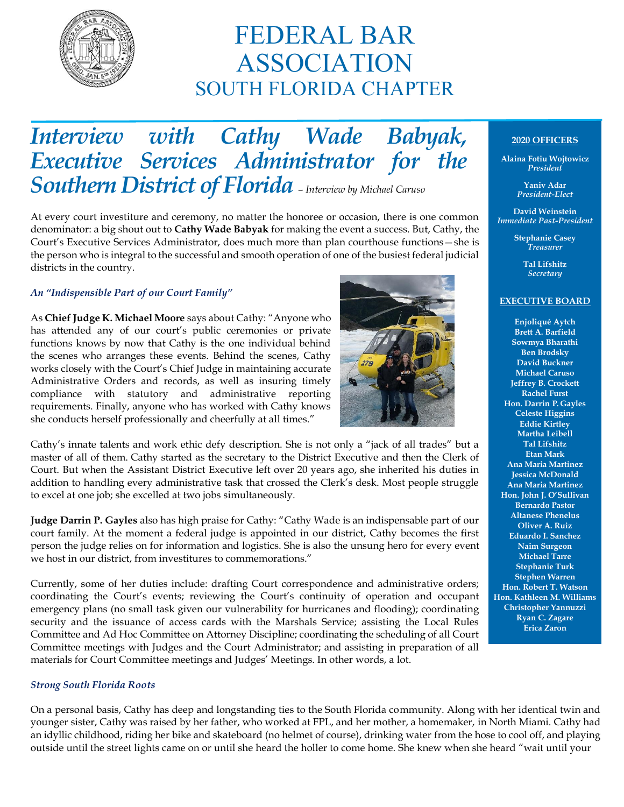

# FEDERAL BAR ASSOCIATION SOUTH FLORIDA CHAPTER

## *Interview with Cathy Wade Babyak, Executive Services Administrator for the Southern District of Florida* – *Interview by Michael Caruso*

At every court investiture and ceremony, no matter the honoree or occasion, there is one common denominator: a big shout out to **Cathy Wade Babyak** for making the event a success. But, Cathy, the Court's Executive Services Administrator, does much more than plan courthouse functions—she is the person who is integral to the successful and smooth operation of one of the busiest federal judicial districts in the country.

#### *An "Indispensible Part of our Court Family"*

As **Chief Judge K. Michael Moore** says about Cathy: "Anyone who has attended any of our court's public ceremonies or private functions knows by now that Cathy is the one individual behind the scenes who arranges these events. Behind the scenes, Cathy works closely with the Court's Chief Judge in maintaining accurate Administrative Orders and records, as well as insuring timely compliance with statutory and administrative reporting requirements. Finally, anyone who has worked with Cathy knows she conducts herself professionally and cheerfully at all times."



Cathy's innate talents and work ethic defy description. She is not only a "jack of all trades" but a master of all of them. Cathy started as the secretary to the District Executive and then the Clerk of Court. But when the Assistant District Executive left over 20 years ago, she inherited his duties in addition to handling every administrative task that crossed the Clerk's desk. Most people struggle to excel at one job; she excelled at two jobs simultaneously.

**Judge Darrin P. Gayles** also has high praise for Cathy: "Cathy Wade is an indispensable part of our court family. At the moment a federal judge is appointed in our district, Cathy becomes the first person the judge relies on for information and logistics. She is also the unsung hero for every event we host in our district, from investitures to commemorations."

Currently, some of her duties include: drafting Court correspondence and administrative orders; coordinating the Court's events; reviewing the Court's continuity of operation and occupant emergency plans (no small task given our vulnerability for hurricanes and flooding); coordinating security and the issuance of access cards with the Marshals Service; assisting the Local Rules Committee and Ad Hoc Committee on Attorney Discipline; coordinating the scheduling of all Court Committee meetings with Judges and the Court Administrator; and assisting in preparation of all materials for Court Committee meetings and Judges' Meetings. In other words, a lot.

#### *Strong South Florida Roots*

On a personal basis, Cathy has deep and longstanding ties to the South Florida community. Along with her identical twin and younger sister, Cathy was raised by her father, who worked at FPL, and her mother, a homemaker, in North Miami. Cathy had an idyllic childhood, riding her bike and skateboard (no helmet of course), drinking water from the hose to cool off, and playing outside until the street lights came on or until she heard the holler to come home. She knew when she heard "wait until your

### **2020 OFFICERS**

**Alaina Fotiu Wojtowicz** *President*

> **Yaniv Adar** *President-Elect*

**David Weinstein** *Immediate Past-President*

> **Stephanie Casey** *Treasurer*

> > **Tal Lifshitz** *Secretary*

#### **EXECUTIVE BOARD**

**Enjoliqué Aytch Brett A. Barfield Sowmya Bharathi Ben Brodsky David Buckner Michael Caruso Jeffrey B. Crockett Rachel Furst Hon. Darrin P. Gayles Celeste Higgins Eddie Kirtley Martha Leibell Tal Lifshitz Etan Mark Ana Maria Martinez Jessica McDonald Ana Maria Martinez Hon. John J. O'Sullivan Bernardo Pastor Altanese Phenelus Oliver A. Ruiz Eduardo I. Sanchez Naim Surgeon Michael Tarre Stephanie Turk Stephen Warren Hon. Robert T. Watson Hon. Kathleen M. Williams Christopher Yannuzzi Ryan C. Zagare Erica Zaron**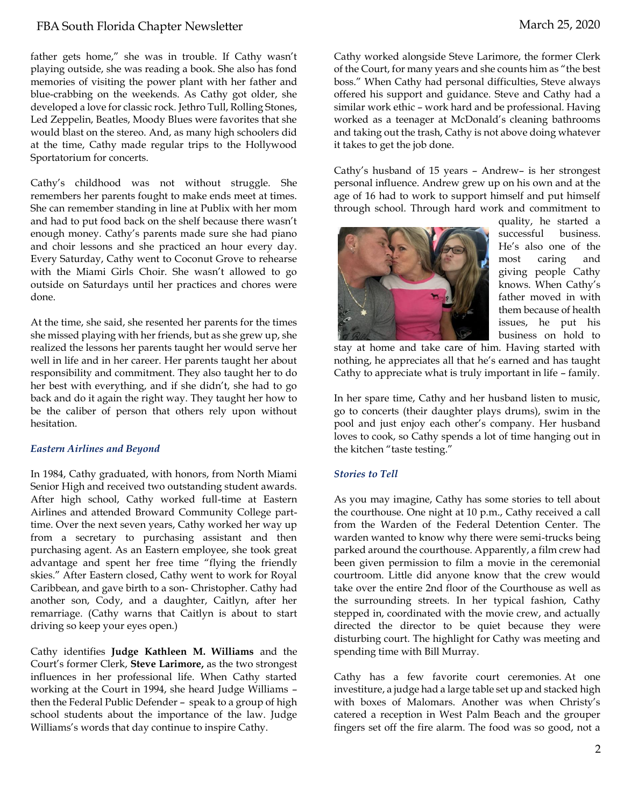father gets home," she was in trouble. If Cathy wasn't playing outside, she was reading a book. She also has fond memories of visiting the power plant with her father and blue-crabbing on the weekends. As Cathy got older, she developed a love for classic rock. Jethro Tull, Rolling Stones, Led Zeppelin, Beatles, Moody Blues were favorites that she would blast on the stereo. And, as many high schoolers did at the time, Cathy made regular trips to the Hollywood Sportatorium for concerts.

Cathy's childhood was not without struggle. She remembers her parents fought to make ends meet at times. She can remember standing in line at Publix with her mom and had to put food back on the shelf because there wasn't enough money. Cathy's parents made sure she had piano and choir lessons and she practiced an hour every day. Every Saturday, Cathy went to Coconut Grove to rehearse with the Miami Girls Choir. She wasn't allowed to go outside on Saturdays until her practices and chores were done.

At the time, she said, she resented her parents for the times she missed playing with her friends, but as she grew up, she realized the lessons her parents taught her would serve her well in life and in her career. Her parents taught her about responsibility and commitment. They also taught her to do her best with everything, and if she didn't, she had to go back and do it again the right way. They taught her how to be the caliber of person that others rely upon without hesitation.

#### *Eastern Airlines and Beyond*

In 1984, Cathy graduated, with honors, from North Miami Senior High and received two outstanding student awards. After high school, Cathy worked full-time at Eastern Airlines and attended Broward Community College parttime. Over the next seven years, Cathy worked her way up from a secretary to purchasing assistant and then purchasing agent. As an Eastern employee, she took great advantage and spent her free time "flying the friendly skies." After Eastern closed, Cathy went to work for Royal Caribbean, and gave birth to a son- Christopher. Cathy had another son, Cody, and a daughter, Caitlyn, after her remarriage. (Cathy warns that Caitlyn is about to start driving so keep your eyes open.)

Cathy identifies **Judge Kathleen M. Williams** and the Court's former Clerk, **Steve Larimore,** as the two strongest influences in her professional life. When Cathy started working at the Court in 1994, she heard Judge Williams – then the Federal Public Defender – speak to a group of high school students about the importance of the law. Judge Williams's words that day continue to inspire Cathy.

Cathy worked alongside Steve Larimore, the former Clerk of the Court, for many years and she counts him as "the best boss." When Cathy had personal difficulties, Steve always offered his support and guidance. Steve and Cathy had a similar work ethic – work hard and be professional. Having worked as a teenager at McDonald's cleaning bathrooms and taking out the trash, Cathy is not above doing whatever it takes to get the job done.

Cathy's husband of 15 years – Andrew– is her strongest personal influence. Andrew grew up on his own and at the age of 16 had to work to support himself and put himself through school. Through hard work and commitment to



quality, he started a successful business. He's also one of the most caring and giving people Cathy knows. When Cathy's father moved in with them because of health issues, he put his business on hold to

stay at home and take care of him. Having started with nothing, he appreciates all that he's earned and has taught Cathy to appreciate what is truly important in life – family.

In her spare time, Cathy and her husband listen to music, go to concerts (their daughter plays drums), swim in the pool and just enjoy each other's company. Her husband loves to cook, so Cathy spends a lot of time hanging out in the kitchen "taste testing."

#### *Stories to Tell*

As you may imagine, Cathy has some stories to tell about the courthouse. One night at 10 p.m., Cathy received a call from the Warden of the Federal Detention Center. The warden wanted to know why there were semi-trucks being parked around the courthouse. Apparently, a film crew had been given permission to film a movie in the ceremonial courtroom. Little did anyone know that the crew would take over the entire 2nd floor of the Courthouse as well as the surrounding streets. In her typical fashion, Cathy stepped in, coordinated with the movie crew, and actually directed the director to be quiet because they were disturbing court. The highlight for Cathy was meeting and spending time with Bill Murray.

Cathy has a few favorite court ceremonies. At one investiture, a judge had a large table set up and stacked high with boxes of Malomars. Another was when Christy's catered a reception in West Palm Beach and the grouper fingers set off the fire alarm. The food was so good, not a